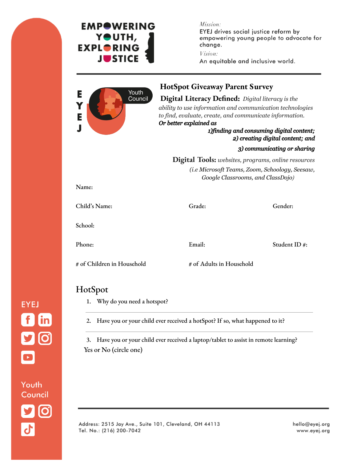

Youth Council

# **EMPOWERING** YOUTH, **EXPLORING JUSTICE**

Mission:

EYEJ drives social justice reform by empowering young people to advocate for change.

Vision:

An equitable and inclusive world.



### **HotSpot Giveaway Parent Survey**

### **Digital Literacy Defined:** *Digital literacy is the*

*ability to use information and communication technologies to find, evaluate, create, and communicate information. Or better explained as*

#### *1)finding and consuming digital content; 2) creating digital content; and*

#### *3) communicating or sharing*

**Digital Tools:** *websites, programs, online resources (i.e Microsoft Teams, Zoom, Schoology, Seesaw, Google Classrooms, and ClassDojo)*

| Child's Name: | Grade: | Gender:      |
|---------------|--------|--------------|
| School:       |        |              |
| Phone:        | Email: | Student ID#: |

# of Children in Household # of Adults in Household

# HotSpot

1. Why do you need a hotspot?

2. Have you or your child ever received a hotSpot? If so, what happened to it?

3. Have you or your child ever received a laptop/tablet to assist in remote learning? Yes or No (circle one)